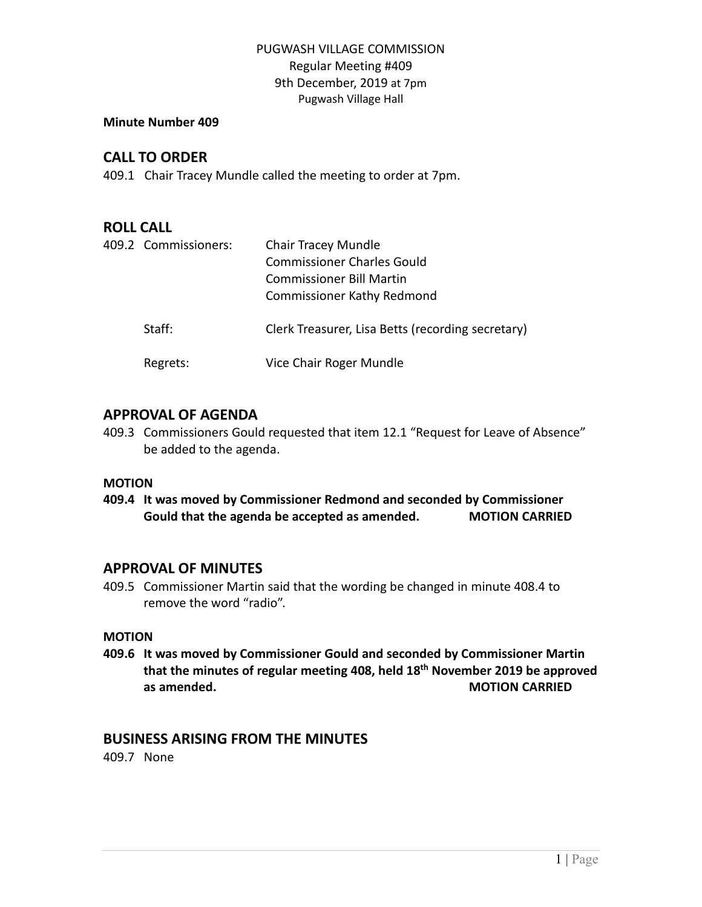#### **Minute Number 409**

# **CALL TO ORDER**

409.1 Chair Tracey Mundle called the meeting to order at 7pm.

# **ROLL CALL**

| 409.2 Commissioners: | Chair Tracey Mundle<br><b>Commissioner Charles Gould</b><br>Commissioner Bill Martin<br><b>Commissioner Kathy Redmond</b> |
|----------------------|---------------------------------------------------------------------------------------------------------------------------|
| Staff:               | Clerk Treasurer, Lisa Betts (recording secretary)                                                                         |
| Regrets:             | Vice Chair Roger Mundle                                                                                                   |

## **APPROVAL OF AGENDA**

409.3 Commissioners Gould requested that item 12.1 "Request for Leave of Absence" be added to the agenda.

#### **MOTION**

**409.4 It was moved by Commissioner Redmond and seconded by Commissioner Gould that the agenda be accepted as amended. MOTION CARRIED**

## **APPROVAL OF MINUTES**

409.5 Commissioner Martin said that the wording be changed in minute 408.4 to remove the word "radio".

## **MOTION**

**409.6 It was moved by Commissioner Gould and seconded by Commissioner Martin that the minutes of regular meeting 408, held 18th November 2019 be approved as amended. MOTION CARRIED**

## **BUSINESS ARISING FROM THE MINUTES**

409.7 None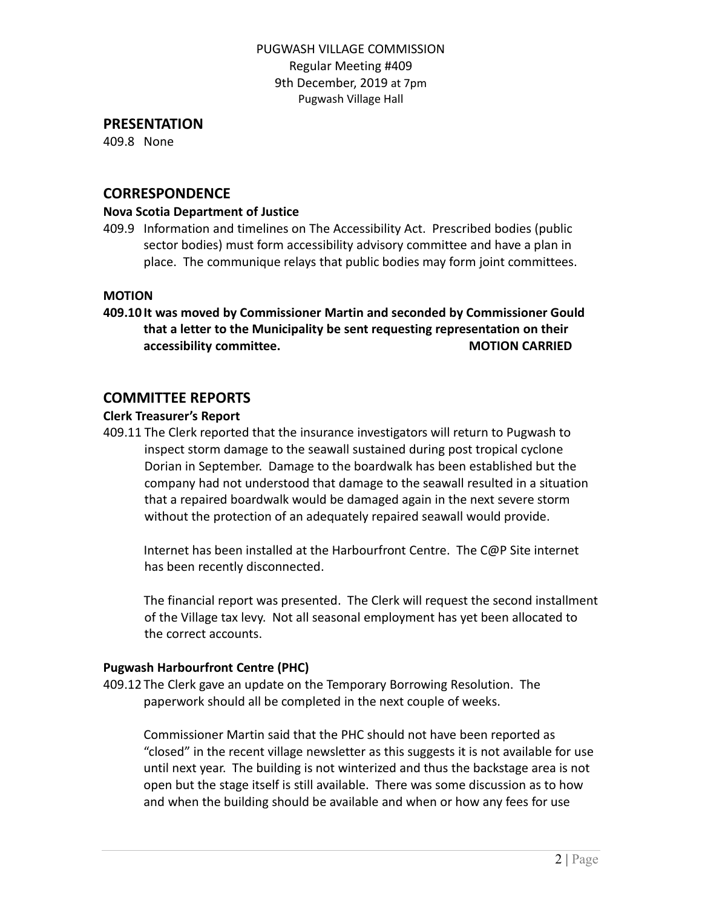#### **PRESENTATION**

409.8 None

### **CORRESPONDENCE**

#### **Nova Scotia Department of Justice**

409.9 Information and timelines on The Accessibility Act. Prescribed bodies (public sector bodies) must form accessibility advisory committee and have a plan in place. The communique relays that public bodies may form joint committees.

#### **MOTION**

**409.10 It was moved by Commissioner Martin and seconded by Commissioner Gould that a letter to the Municipality be sent requesting representation on their accessibility committee. MOTION CARRIED** 

### **COMMITTEE REPORTS**

#### **Clerk Treasurer's Report**

409.11 The Clerk reported that the insurance investigators will return to Pugwash to inspect storm damage to the seawall sustained during post tropical cyclone Dorian in September. Damage to the boardwalk has been established but the company had not understood that damage to the seawall resulted in a situation that a repaired boardwalk would be damaged again in the next severe storm without the protection of an adequately repaired seawall would provide.

Internet has been installed at the Harbourfront Centre. The C@P Site internet has been recently disconnected.

The financial report was presented. The Clerk will request the second installment of the Village tax levy. Not all seasonal employment has yet been allocated to the correct accounts.

#### **Pugwash Harbourfront Centre (PHC)**

409.12 The Clerk gave an update on the Temporary Borrowing Resolution. The paperwork should all be completed in the next couple of weeks.

Commissioner Martin said that the PHC should not have been reported as "closed" in the recent village newsletter as this suggests it is not available for use until next year. The building is not winterized and thus the backstage area is not open but the stage itself is still available. There was some discussion as to how and when the building should be available and when or how any fees for use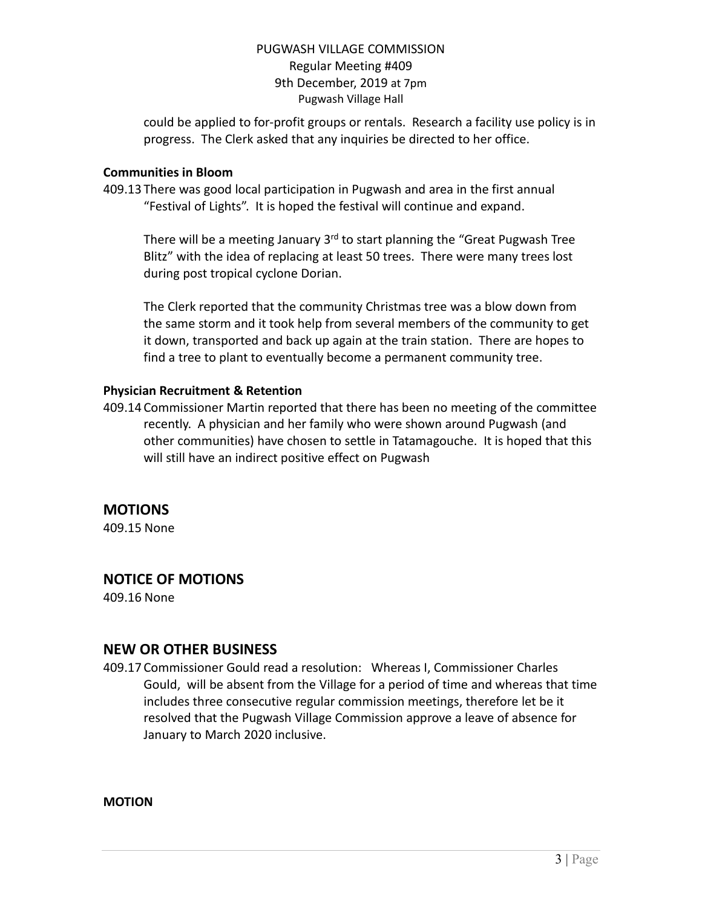could be applied to for-profit groups or rentals. Research a facility use policy is in progress. The Clerk asked that any inquiries be directed to her office.

#### **Communities in Bloom**

409.13 There was good local participation in Pugwash and area in the first annual "Festival of Lights". It is hoped the festival will continue and expand.

There will be a meeting January 3<sup>rd</sup> to start planning the "Great Pugwash Tree Blitz" with the idea of replacing at least 50 trees. There were many trees lost during post tropical cyclone Dorian.

The Clerk reported that the community Christmas tree was a blow down from the same storm and it took help from several members of the community to get it down, transported and back up again at the train station. There are hopes to find a tree to plant to eventually become a permanent community tree.

#### **Physician Recruitment & Retention**

409.14 Commissioner Martin reported that there has been no meeting of the committee recently. A physician and her family who were shown around Pugwash (and other communities) have chosen to settle in Tatamagouche. It is hoped that this will still have an indirect positive effect on Pugwash

# **MOTIONS**

409.15 None

# **NOTICE OF MOTIONS**

409.16 None

## **NEW OR OTHER BUSINESS**

409.17 Commissioner Gould read a resolution: Whereas I, Commissioner Charles Gould, will be absent from the Village for a period of time and whereas that time includes three consecutive regular commission meetings, therefore let be it resolved that the Pugwash Village Commission approve a leave of absence for January to March 2020 inclusive.

**MOTION**